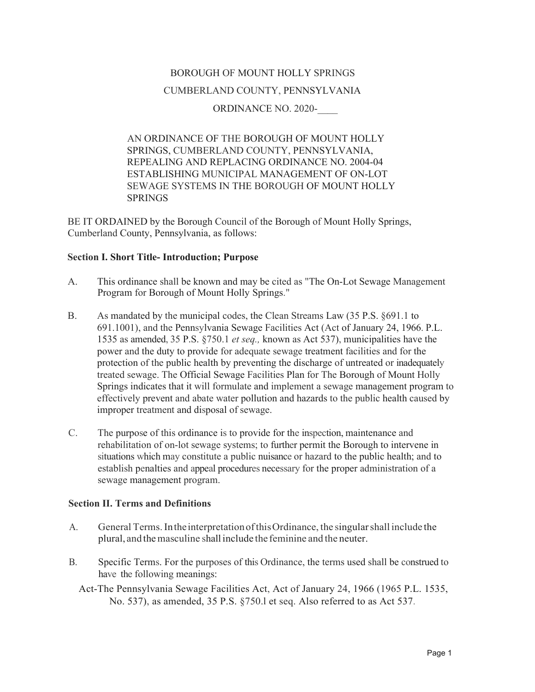# BOROUGH OF MOUNT HOLLY SPRINGS CUMBERLAND COUNTY, PENNSYLVANIA ORDINANCE NO. 2020-

AN ORDINANCE OF THE BOROUGH OF MOUNT HOLLY SPRINGS, CUMBERLAND COUNTY, PENNSYLVANIA, REPEALING AND REPLACING ORDINANCE NO. 2004-04 ESTABLISHING MUNICIPAL MANAGEMENT OF ON-LOT SEWAGE SYSTEMS IN THE BOROUGH OF MOUNT HOLLY SPRINGS

BE IT ORDAINED by the Borough Council of the Borough of Mount Holly Springs, Cumberland County, Pennsylvania, as follows:

# **Section I. Short Title- Introduction; Purpose**

- A. This ordinance shall be known and may be cited as "The On-Lot Sewage Management Program for Borough of Mount Holly Springs."
- B. As mandated by the municipal codes, the Clean Streams Law (35 P.S. §691.1 to 691.1001), and the Pennsylvania Sewage Facilities Act (Act of January 24, 1966. P.L. 1535 as amended, 35 P.S. §750.1 *et seq.,* known as Act 537), municipalities have the power and the duty to provide for adequate sewage treatment facilities and for the protection of the public health by preventing the discharge of untreated or inadequately treated sewage. The Official Sewage Facilities Plan for The Borough of Mount Holly Springs indicates that it will formulate and implement a sewage management program to effectively prevent and abate water pollution and hazards to the public health caused by improper treatment and disposal of sewage.
- C. The purpose of this ordinance is to provide for the inspection, maintenance and rehabilitation of on-lot sewage systems; to further permit the Borough to intervene in situations which may constitute a public nuisance or hazard to the public health; and to establish penalties and appeal procedures necessary for the proper administration of a sewage management program.

# **Section II. Terms and Definitions**

- A. General Terms.IntheinterpretationofthisOrdinance, the singularshall include the plural, and the masculine shall include the feminine and the neuter.
- B. Specific Terms. For the purposes of this Ordinance, the terms used shall be construed to have the following meanings:
	- Act-The Pennsylvania Sewage Facilities Act, Act of January 24, 1966 (1965 P.L. 1535, No. 537), as amended, 35 P.S. §750.l et seq. Also referred to as Act 537.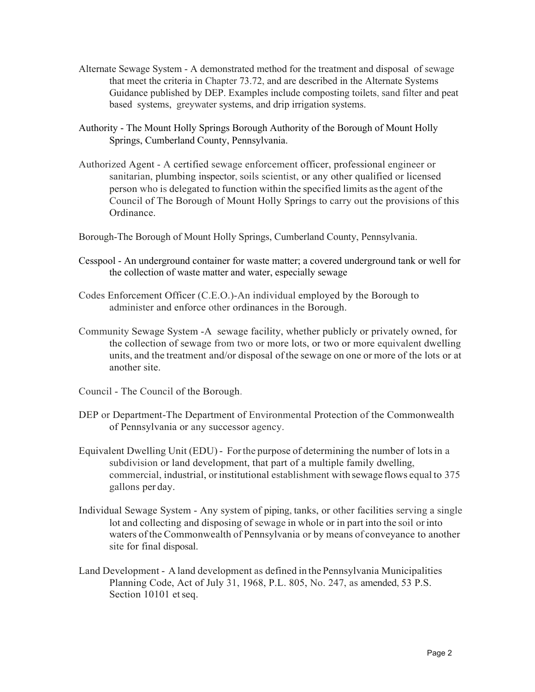- Alternate Sewage System A demonstrated method for the treatment and disposal of sewage that meet the criteria in Chapter 73.72, and are described in the Alternate Systems Guidance published by DEP. Examples include composting toilets, sand filter and peat based systems, greywater systems, and drip irrigation systems.
- Authority The Mount Holly Springs Borough Authority of the Borough of Mount Holly Springs, Cumberland County, Pennsylvania.
- Authorized Agent A certified sewage enforcement officer, professional engineer or sanitarian, plumbing inspector, soils scientist, or any other qualified or licensed person who is delegated to function within the specified limits asthe agent of the Council of The Borough of Mount Holly Springs to carry out the provisions of this Ordinance.
- Borough-The Borough of Mount Holly Springs, Cumberland County, Pennsylvania.
- Cesspool An underground container for waste matter; a covered underground tank or well for the collection of waste matter and water, especially sewage
- Codes Enforcement Officer (C.E.O.)-An individual employed by the Borough to administer and enforce other ordinances in the Borough.
- Community Sewage System -A sewage facility, whether publicly or privately owned, for the collection of sewage from two or more lots, or two or more equivalent dwelling units, and the treatment and/or disposal ofthe sewage on one or more of the lots or at another site.
- Council The Council of the Borough.
- DEP or Department-The Department of Environmental Protection of the Commonwealth of Pennsylvania or any successor agency.
- Equivalent Dwelling Unit (EDU) Forthe purpose of determining the number of lotsin a subdivision or land development, that part of a multiple family dwelling, commercial, industrial, or institutional establishment with sewage flows equal to 375 gallons per day.
- Individual Sewage System Any system of piping, tanks, or other facilities serving a single lot and collecting and disposing of sewage in whole or in part into the soil orinto waters of the Commonwealth of Pennsylvania or by means of conveyance to another site for final disposal.
- Land Development A land development as defined in the Pennsylvania Municipalities Planning Code, Act of July 31, 1968, P.L. 805, No. 247, as amended, 53 P.S. Section 10101 et seq.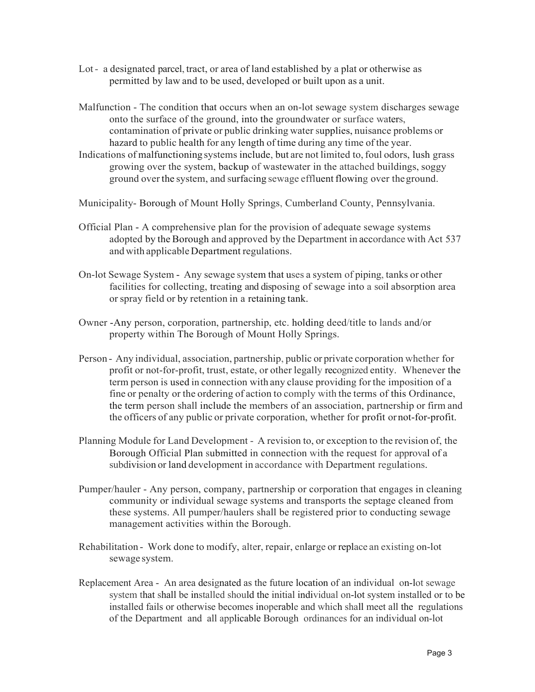- Lot- a designated parcel, tract, or area of land established by a plat or otherwise as permitted by law and to be used, developed or built upon as a unit.
- Malfunction The condition that occurs when an on-lot sewage system discharges sewage onto the surface of the ground, into the groundwater or surface waters, contamination of private or public drinking water supplies, nuisance problems or hazard to public health for any length of time during any time of the year.
- Indications of malfunctioning systems include, but are not limited to, foul odors, lush grass growing over the system, backup of wastewater in the attached buildings, soggy ground over the system, and surfacing sewage effluent flowing over theground.

Municipality- Borough of Mount Holly Springs, Cumberland County, Pennsylvania.

- Official Plan A comprehensive plan for the provision of adequate sewage systems adopted by the Borough and approved by the Department in accordance with Act 537 and with applicable Department regulations.
- On-lot Sewage System Any sewage system that uses a system of piping, tanks or other facilities for collecting, treating and disposing of sewage into a soil absorption area orspray field or by retention in a retaining tank.
- Owner -Any person, corporation, partnership, etc. holding deed/title to lands and/or property within The Borough of Mount Holly Springs.
- Person Any individual, association, partnership, public or private corporation whether for profit or not-for-profit, trust, estate, or other legally recognized entity. Whenever the term person is used in connection with any clause providing for the imposition of a fine or penalty or the ordering of action to comply with the terms of this Ordinance, the term person shall include the members of an association, partnership or firm and the officers of any public or private corporation, whether for profit ornot-for-profit.
- Planning Module for Land Development A revision to, or exception to the revision of, the Borough Official Plan submitted in connection with the request for approval of a subdivision or land development in accordance with Department regulations.
- Pumper/hauler Any person, company, partnership or corporation that engages in cleaning community or individual sewage systems and transports the septage cleaned from these systems. All pumper/haulers shall be registered prior to conducting sewage management activities within the Borough.
- Rehabilitation Work done to modify, alter, repair, enlarge or replace an existing on-lot sewage system.
- Replacement Area An area designated as the future location of an individual on-lot sewage system that shall be installed should the initial individual on-lot system installed or to be installed fails or otherwise becomes inoperable and which shall meet all the regulations of the Department and all applicable Borough ordinances for an individual on-lot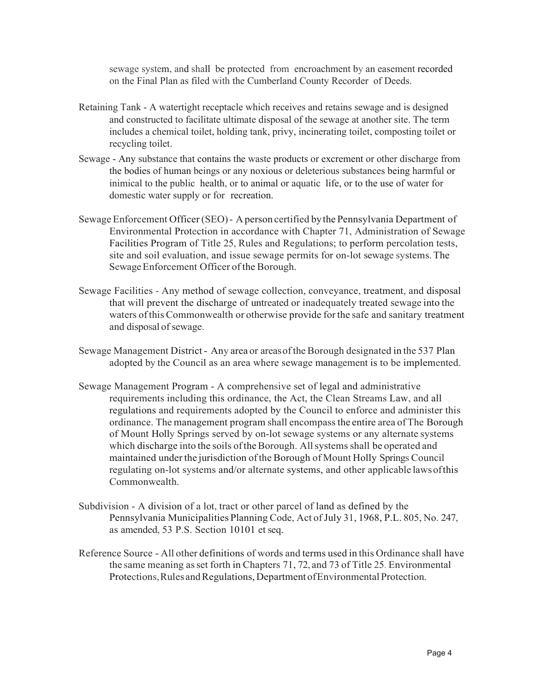sewage system, and shall be protected from encroachment by an easement recorded on the Final Plan as filed with the Cumberland County Recorder of Deeds.

- Retaining Tank A watertight receptacle which receives and retains sewage and is designed and constructed to facilitate ultimate disposal of the sewage at another site. The term includes a chemical toilet, holding tank, privy, incinerating toilet, composting toilet or recycling toilet.
- Sewage Any substance that contains the waste products or excrement or other discharge from the bodies of human beings or any noxious or deleterious substances being harmful or inimical to the public health, or to animal or aquatic life, or to the use of water for domestic water supply or for recreation.
- Sewage Enforcement Officer(SEO)- A person certified bythe Pennsylvania Department of Environmental Protection in accordance with Chapter 71, Administration of Sewage Facilities Program of Title 25, Rules and Regulations; to perform percolation tests, site and soil evaluation, and issue sewage permits for on-lot sewage systems.The Sewage Enforcement Officer of the Borough.
- Sewage Facilities Any method of sewage collection, conveyance, treatment, and disposal that will prevent the discharge of untreated or inadequately treated sewage into the waters ofthis Commonwealth or otherwise provide forthe safe and sanitary treatment and disposal of sewage.
- Sewage Management District Any area or areas of the Borough designated in the 537 Plan adopted by the Council as an area where sewage management is to be implemented.
- Sewage Management Program A comprehensive set of legal and administrative requirements including this ordinance, the Act, the Clean Streams Law, and all regulations and requirements adopted by the Council to enforce and administer this ordinance. The management program shall encompassthe entire area of The Borough of Mount Holly Springs served by on-lot sewage systems or any alternate systems which discharge into the soils of the Borough. All systems shall be operated and maintained underthe jurisdiction ofthe Borough of Mount Holly Springs Council regulating on-lot systems and/or alternate systems, and other applicable lawsofthis Commonwealth.
- Subdivision A division of a lot, tract or other parcel of land as defined by the Pennsylvania Municipalities Planning Code, Act of July 31, 1968, P.L. 805, No. 247, as amended, 53 P.S. Section 10101 et seq.
- Reference Source All other definitions of words and terms used in this Ordinance shall have the same meaning asset forth in Chapters 71, 72, and 73 of Title 25. Environmental Protections, Rules and Regulations, Department of Environmental Protection.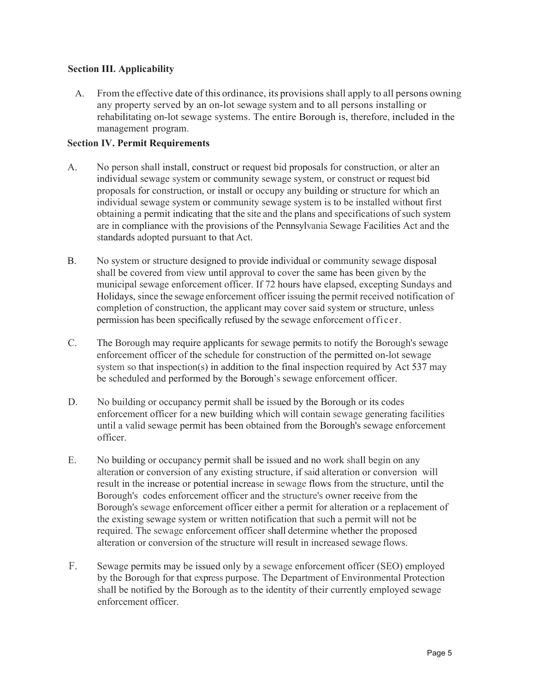# **Section III. Applicability**

A. From the effective date of this ordinance, its provisions shall apply to all persons owning any property served by an on-lot sewage system and to all persons installing or rehabilitating on-lot sewage systems. The entire Borough is, therefore, included in the management program.

### **Section IV. Permit Requirements**

- A. No person shall install, construct or request bid proposals for construction, or alter an individual sewage system or community sewage system, or construct or request bid proposals for construction, or install or occupy any building or structure for which an individual sewage system or community sewage system is to be installed without first obtaining a permit indicating that the site and the plans and specifications of such system are in compliance with the provisions of the Pennsylvania Sewage Facilities Act and the standards adopted pursuant to that Act.
- B. No system or structure designed to provide individual or community sewage disposal shall be covered from view until approval to cover the same has been given by the municipal sewage enforcement officer. If 72 hours have elapsed, excepting Sundays and Holidays, since the sewage enforcement officer issuing the permit received notification of completion of construction, the applicant may cover said system or structure, unless permission has been specifically refused by the sewage enforcement officer.
- C. The Borough may require applicants for sewage permits to notify the Borough's sewage enforcement officer of the schedule for construction of the permitted on-lot sewage system so that inspection(s) in addition to the final inspection required by Act 537 may be scheduled and performed by the Borough's sewage enforcement officer.
- D. No building or occupancy permit shall be issued by the Borough or its codes enforcement officer for a new building which will contain sewage generating facilities until a valid sewage permit has been obtained from the Borough's sewage enforcement officer.
- E. No building or occupancy permit shall be issued and no work shall begin on any alteration or conversion of any existing structure, if said alteration or conversion will result in the increase or potential increase in sewage flows from the structure, until the Borough's codes enforcement officer and the structure's owner receive from the Borough's sewage enforcement officer either a permit for alteration or a replacement of the existing sewage system or written notification that such a permit will not be required. The sewage enforcement officer shall determine whether the proposed alteration or conversion of the structure will result in increased sewage flows.
- F. Sewage permits may be issued only by a sewage enforcement officer (SEO) employed by the Borough for that express purpose. The Department of Environmental Protection shall be notified by the Borough as to the identity of their currently employed sewage enforcement officer.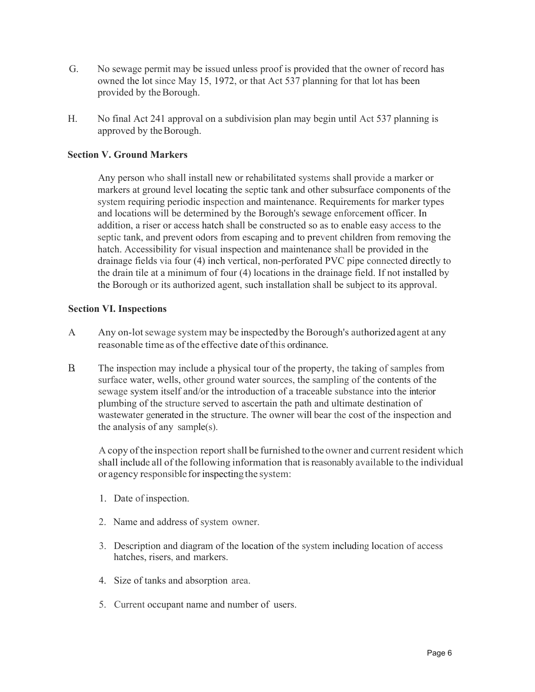- G. No sewage permit may be issued unless proof is provided that the owner of record has owned the lot since May 15, 1972, or that Act 537 planning for that lot has been provided by the Borough.
- H. No final Act 241 approval on a subdivision plan may begin until Act 537 planning is approved by the Borough.

# **Section V. Ground Markers**

Any person who shall install new or rehabilitated systems shall provide a marker or markers at ground level locating the septic tank and other subsurface components of the system requiring periodic inspection and maintenance. Requirements for marker types and locations will be determined by the Borough's sewage enforcement officer. In addition, a riser or access hatch shall be constructed so as to enable easy access to the septic tank, and prevent odors from escaping and to prevent children from removing the hatch. Accessibility for visual inspection and maintenance shall be provided in the drainage fields via four (4) inch vertical, non-perforated PVC pipe connected directly to the drain tile at a minimum of four (4) locations in the drainage field. If not installed by the Borough or its authorized agent, such installation shall be subject to its approval.

#### **Section VI. Inspections**

- A. Any on-lot sewage system may be inspected by the Borough's authorized agent at any reasonable time as of the effective date ofthis ordinance.
- B. The inspection may include a physical tour of the property, the taking of samples from surface water, wells, other ground water sources, the sampling of the contents of the sewage system itself and/or the introduction of a traceable substance into the interior plumbing of the structure served to ascertain the path and ultimate destination of wastewater generated in the structure. The owner will bear the cost of the inspection and the analysis of any sample(s).

A copy ofthe inspection reportshall be furnished tothe owner and current resident which shall include all of the following information that isreasonably available to the individual or agency responsible for inspecting the system:

- 1. Date of inspection.
- 2. Name and address of system owner.
- 3. Description and diagram of the location of the system including location of access hatches, risers, and markers.
- 4. Size of tanks and absorption area.
- 5. Current occupant name and number of users.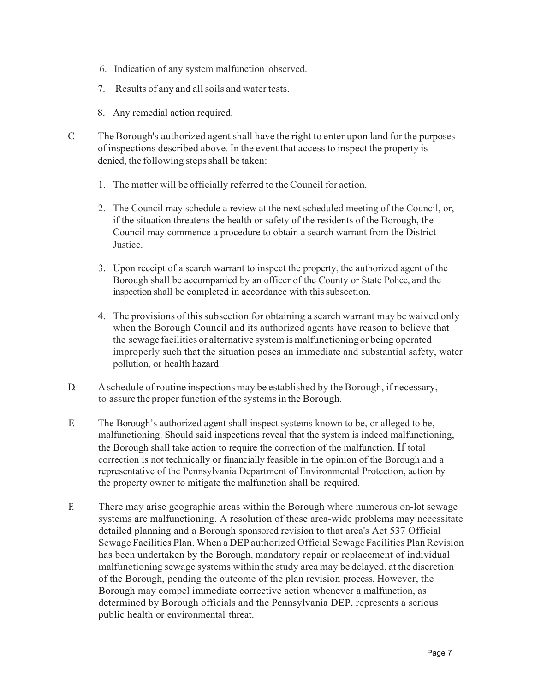- 6. Indication of any system malfunction observed.
- 7. Results of any and allsoils and water tests.
- 8. Any remedial action required.
- C. The Borough's authorized agent shall have the right to enter upon land for the purposes ofinspections described above. In the event that access to inspect the property is denied, the following steps shall be taken:
	- 1. The matter will be officially referred to the Council for action.
	- 2. The Council may schedule a review at the next scheduled meeting of the Council, or, if the situation threatens the health or safety of the residents of the Borough, the Council may commence a procedure to obtain a search warrant from the District Justice.
	- 3. Upon receipt of a search warrant to inspect the property, the authorized agent of the Borough shall be accompanied by an officer of the County or State Police, and the inspection shall be completed in accordance with this subsection.
	- 4. The provisions ofthissubsection for obtaining a search warrant may be waived only when the Borough Council and its authorized agents have reason to believe that the sewage facilities or alternative system ismalfunctioningor being operated improperly such that the situation poses an immediate and substantial safety, water pollution, or health hazard.
- $D$ . A schedule of routine inspections may be established by the Borough, if necessary, to assure the proper function of the systemsin the Borough.
- E. The Borough's authorized agent shall inspect systems known to be, or alleged to be, malfunctioning. Should said inspections reveal that the system is indeed malfunctioning, the Borough shall take action to require the correction of the malfunction. If total correction is not technically or financially feasible in the opinion of the Borough and a representative of the Pennsylvania Department of Environmental Protection, action by the property owner to mitigate the malfunction shall be required.
- F. There may arise geographic areas within the Borough where numerous on-lot sewage systems are malfunctioning. A resolution of these area-wide problems may necessitate detailed planning and a Borough sponsored revision to that area's Act 537 Official Sewage Facilities Plan. When a DEP authorized Official Sewage Facilities Plan Revision has been undertaken by the Borough, mandatory repair or replacement of individual malfunctioning sewage systems within the study area may be delayed, at the discretion of the Borough, pending the outcome of the plan revision process. However, the Borough may compel immediate corrective action whenever a malfunction, as determined by Borough officials and the Pennsylvania DEP, represents a serious public health or environmental threat.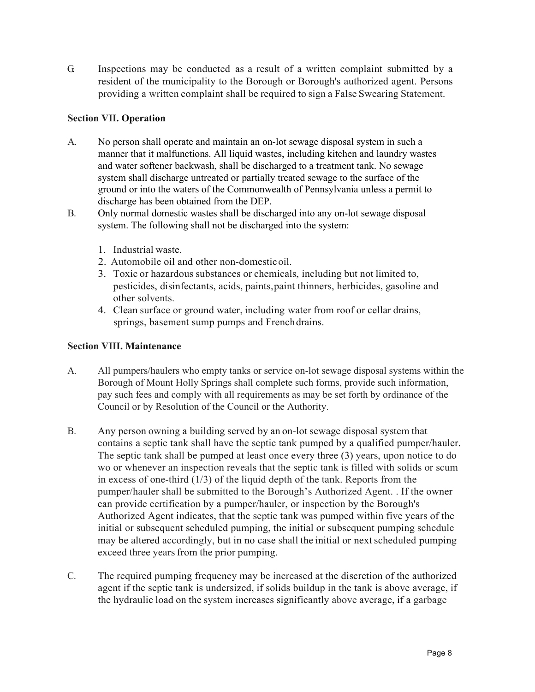G. Inspections may be conducted as a result of a written complaint submitted by a resident of the municipality to the Borough or Borough's authorized agent. Persons providing a written complaint shall be required to sign a False Swearing Statement.

# **Section VII. Operation**

- A. No person shall operate and maintain an on-lot sewage disposal system in such a manner that it malfunctions. All liquid wastes, including kitchen and laundry wastes and water softener backwash, shall be discharged to a treatment tank. No sewage system shall discharge untreated or partially treated sewage to the surface of the ground or into the waters of the Commonwealth of Pennsylvania unless a permit to discharge has been obtained from the DEP.
- B. Only normal domestic wastes shall be discharged into any on-lot sewage disposal system. The following shall not be discharged into the system:
	- 1. Industrial waste.
	- 2. Automobile oil and other non-domesticoil.
	- 3. Toxic or hazardous substances or chemicals, including but not limited to, pesticides, disinfectants, acids, paints,paint thinners, herbicides, gasoline and other solvents.
	- 4. Clean surface or ground water, including water from roof or cellar drains, springs, basement sump pumps and Frenchdrains.

# **Section VIII. Maintenance**

- A. All pumpers/haulers who empty tanks or service on-lot sewage disposal systems within the Borough of Mount Holly Springs shall complete such forms, provide such information, pay such fees and comply with all requirements as may be set forth by ordinance of the Council or by Resolution of the Council or the Authority.
- B. Any person owning a building served by an on-lot sewage disposal system that contains a septic tank shall have the septic tank pumped by a qualified pumper/hauler. The septic tank shall be pumped at least once every three (3) years, upon notice to do wo or whenever an inspection reveals that the septic tank is filled with solids or scum in excess of one-third  $(1/3)$  of the liquid depth of the tank. Reports from the pumper/hauler shall be submitted to the Borough's Authorized Agent. . If the owner can provide certification by a pumper/hauler, or inspection by the Borough's Authorized Agent indicates, that the septic tank was pumped within five years of the initial or subsequent scheduled pumping, the initial or subsequent pumping schedule may be altered accordingly, but in no case shall the initial or next scheduled pumping exceed three years from the prior pumping.
- C. The required pumping frequency may be increased at the discretion of the authorized agent if the septic tank is undersized, if solids buildup in the tank is above average, if the hydraulic load on the system increases significantly above average, if a garbage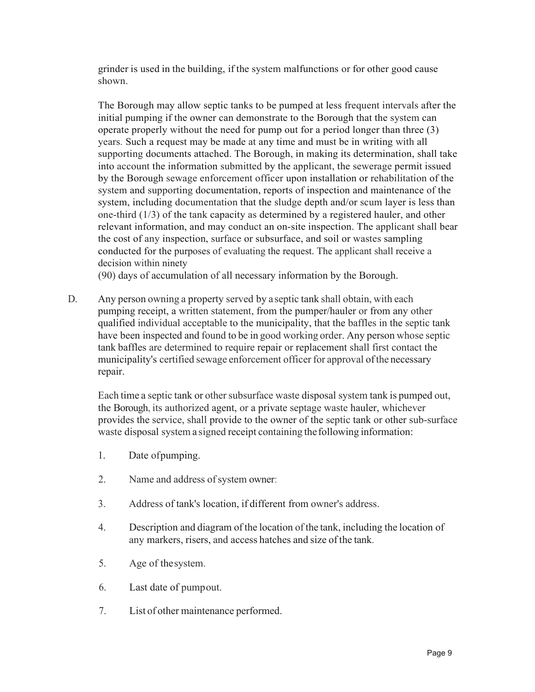grinder is used in the building, if the system malfunctions or for other good cause shown.

The Borough may allow septic tanks to be pumped at less frequent intervals after the initial pumping if the owner can demonstrate to the Borough that the system can operate properly without the need for pump out for a period longer than three (3) years. Such a request may be made at any time and must be in writing with all supporting documents attached. The Borough, in making its determination, shall take into account the information submitted by the applicant, the sewerage permit issued by the Borough sewage enforcement officer upon installation or rehabilitation of the system and supporting documentation, reports of inspection and maintenance of the system, including documentation that the sludge depth and/or scum layer is less than one-third (1/3) of the tank capacity as determined by a registered hauler, and other relevant information, and may conduct an on-site inspection. The applicant shall bear the cost of any inspection, surface or subsurface, and soil or wastes sampling conducted for the purposes of evaluating the request. The applicant shall receive a decision within ninety

(90) days of accumulation of all necessary information by the Borough.

D. Any person owning a property served by a septic tank shall obtain, with each pumping receipt, a written statement, from the pumper/hauler or from any other qualified individual acceptable to the municipality, that the baffles in the septic tank have been inspected and found to be in good working order. Any person whose septic tank baffles are determined to require repair or replacement shall first contact the municipality's certified sewage enforcement officer for approval ofthe necessary repair.

Each time a septic tank or other subsurface waste disposal system tank is pumped out, the Borough, its authorized agent, or a private septage waste hauler, whichever provides the service, shall provide to the owner of the septic tank or other sub-surface waste disposal system a signed receipt containing the following information:

- 1. Date ofpumping.
- 2. Name and address of system owner:
- 3. Address of tank's location, if different from owner's address.
- 4. Description and diagram of the location of the tank, including the location of any markers, risers, and access hatches and size of the tank.
- 5. Age of thesystem.
- 6. Last date of pumpout.
- 7. List of other maintenance performed.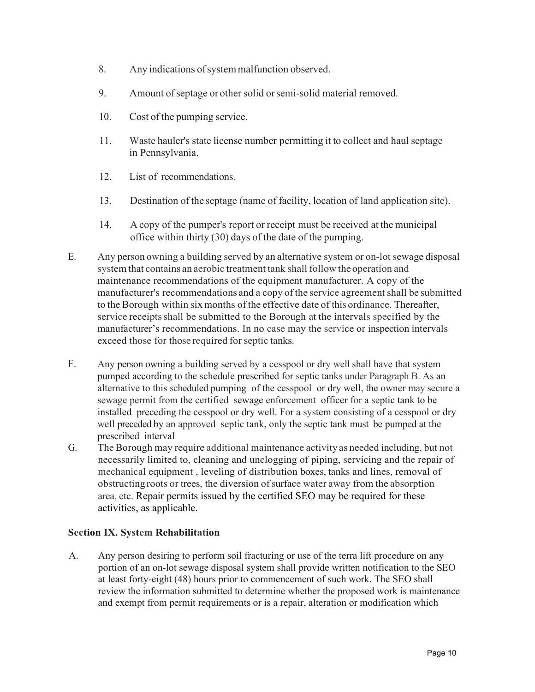- 8. Any indications ofsystemmalfunction observed.
- 9. Amount ofseptage or other solid orsemi-solid material removed.
- 10. Cost of the pumping service.
- 11. Waste hauler's state license number permitting it to collect and haul septage in Pennsylvania.
- 12. List of recommendations.
- 13. Destination of the septage (name of facility, location of land application site).
- 14. A copy of the pumper's report or receipt must be received at the municipal office within thirty (30) days of the date of the pumping.
- E. Any person owning a building served by an alternative system or on-lot sewage disposal system that contains an aerobic treatment tank shall follow the operation and maintenance recommendations of the equipment manufacturer. A copy of the manufacturer's recommendations and a copy ofthe service agreement shall be submitted to the Borough within sixmonths of the effective date of this ordinance. Thereafter, service receipts shall be submitted to the Borough at the intervals specified by the manufacturer's recommendations. In no case may the service or inspection intervals exceed those for those required for septic tanks.
- F. Any person owning a building served by a cesspool or dry well shall have that system pumped according to the schedule prescribed for septic tanks under Paragraph B. As an alternative to this scheduled pumping of the cesspool or dry well, the owner may secure a sewage permit from the certified sewage enforcement officer for a septic tank to be installed preceding the cesspool or dry well. For a system consisting of a cesspool or dry well preceded by an approved septic tank, only the septic tank must be pumped at the prescribed interval
- G. The Borough may require additional maintenance activityas needed including, but not necessarily limited to, cleaning and unclogging of piping, servicing and the repair of mechanical equipment , leveling of distribution boxes, tanks and lines, removal of obstructing roots or trees, the diversion of surface water away from the absorption area, etc. Repair permits issued by the certified SEO may be required for these activities, as applicable.

# **Section IX. System Rehabilitation**

A. Any person desiring to perform soil fracturing or use of the terra lift procedure on any portion of an on-lot sewage disposal system shall provide written notification to the SEO at least forty-eight (48) hours prior to commencement of such work. The SEO shall review the information submitted to determine whether the proposed work is maintenance and exempt from permit requirements or is a repair, alteration or modification which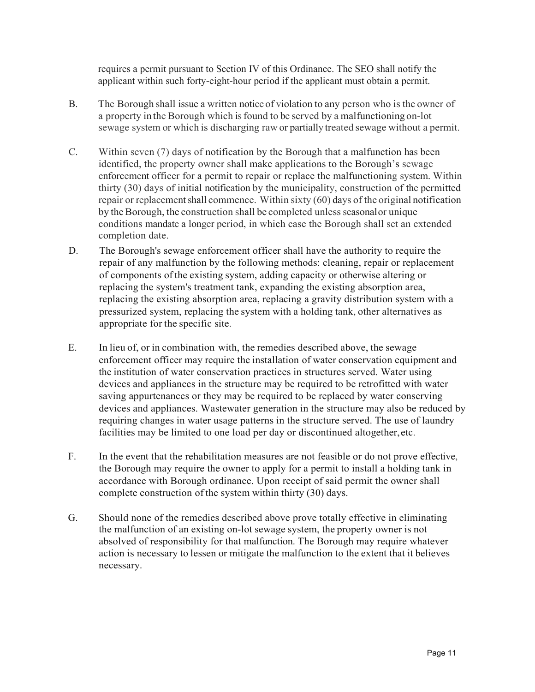requires a permit pursuant to Section IV of this Ordinance. The SEO shall notify the applicant within such forty-eight-hour period if the applicant must obtain a permit.

- B. The Borough shall issue a written notice of violation to any person who is the owner of a property in the Borough which isfound to be served by a malfunctioning on-lot sewage system or which is discharging raw or partially treated sewage without a permit.
- C. Within seven (7) days of notification by the Borough that a malfunction has been identified, the property owner shall make applications to the Borough's sewage enforcement officer for a permit to repair or replace the malfunctioning system. Within thirty (30) days of initial notification by the municipality, construction of the permitted repair or replacement shall commence. Within sixty  $(60)$  days of the original notification by the Borough, the construction shall be completed unless seasonal or unique conditions mandate a longer period, in which case the Borough shall set an extended completion date.
- D. The Borough's sewage enforcement officer shall have the authority to require the repair of any malfunction by the following methods: cleaning, repair or replacement of components of the existing system, adding capacity or otherwise altering or replacing the system's treatment tank, expanding the existing absorption area, replacing the existing absorption area, replacing a gravity distribution system with a pressurized system, replacing the system with a holding tank, other alternatives as appropriate for the specific site.
- E. In lieu of, or in combination with, the remedies described above, the sewage enforcement officer may require the installation of water conservation equipment and the institution of water conservation practices in structures served. Water using devices and appliances in the structure may be required to be retrofitted with water saving appurtenances or they may be required to be replaced by water conserving devices and appliances. Wastewater generation in the structure may also be reduced by requiring changes in water usage patterns in the structure served. The use of laundry facilities may be limited to one load per day or discontinued altogether,etc.
- F. In the event that the rehabilitation measures are not feasible or do not prove effective, the Borough may require the owner to apply for a permit to install a holding tank in accordance with Borough ordinance. Upon receipt of said permit the owner shall complete construction of the system within thirty (30) days.
- G. Should none of the remedies described above prove totally effective in eliminating the malfunction of an existing on-lot sewage system, the property owner is not absolved of responsibility for that malfunction. The Borough may require whatever action is necessary to lessen or mitigate the malfunction to the extent that it believes necessary.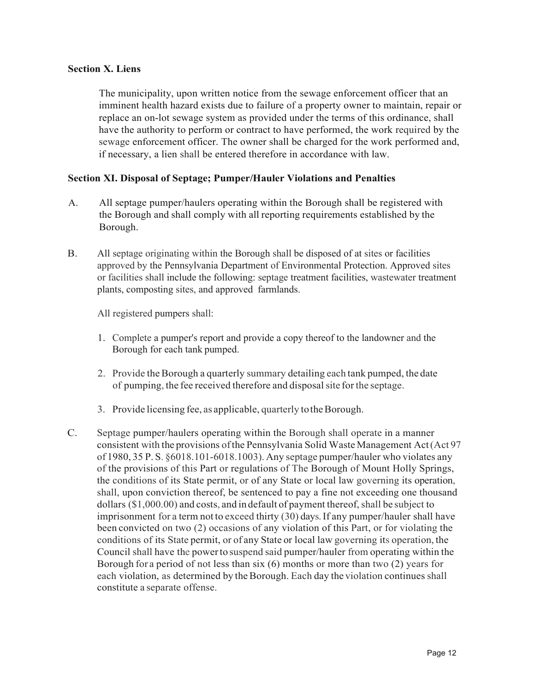### **Section X. Liens**

The municipality, upon written notice from the sewage enforcement officer that an imminent health hazard exists due to failure of a property owner to maintain, repair or replace an on-lot sewage system as provided under the terms of this ordinance, shall have the authority to perform or contract to have performed, the work required by the sewage enforcement officer. The owner shall be charged for the work performed and, if necessary, a lien shall be entered therefore in accordance with law.

### **Section XI. Disposal of Septage; Pumper/Hauler Violations and Penalties**

- A. All septage pumper/haulers operating within the Borough shall be registered with the Borough and shall comply with all reporting requirements established by the Borough.
- B. All septage originating within the Borough shall be disposed of at sites or facilities approved by the Pennsylvania Department of Environmental Protection. Approved sites or facilities shall include the following: septage treatment facilities, wastewater treatment plants, composting sites, and approved farmlands.

All registered pumpers shall:

- 1. Complete a pumper's report and provide a copy thereof to the landowner and the Borough for each tank pumped.
- 2. Provide the Borough a quarterly summary detailing each tank pumped, the date of pumping, the fee received therefore and disposalsite for the septage.
- 3. Provide licensing fee, as applicable, quarterly to the Borough.
- C. Septage pumper/haulers operating within the Borough shall operate in a manner consistent with the provisions ofthe Pennsylvania Solid Waste Management Act(Act 97 of 1980, 35 P. S. §6018.101-6018.1003). Any septage pumper/hauler who violates any of the provisions of this Part or regulations of The Borough of Mount Holly Springs, the conditions of its State permit, or of any State or local law governing its operation, shall, upon conviction thereof, be sentenced to pay a fine not exceeding one thousand dollars  $(\$1,000.00)$  and costs, and in default of payment thereof, shall be subject to imprisonment for a term not to exceed thirty (30) days. If any pumper/hauler shall have been convicted on two (2) occasions of any violation of this Part, or for violating the conditions of its State permit, or of any State or local law governing its operation, the Council shall have the powerto suspend said pumper/hauler from operating within the Borough for a period of not less than six (6) months or more than two (2) years for each violation, as determined by the Borough. Each day the violation continues shall constitute a separate offense.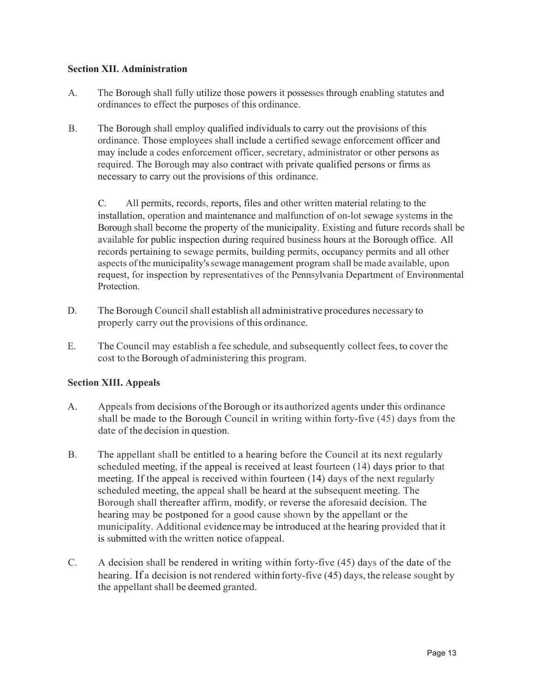### **Section XII. Administration**

- A. The Borough shall fully utilize those powers it possesses through enabling statutes and ordinances to effect the purposes of this ordinance.
- B. The Borough shall employ qualified individuals to carry out the provisions of this ordinance. Those employees shall include a certified sewage enforcement officer and may include a codes enforcement officer, secretary, administrator or other persons as required. The Borough may also contract with private qualified persons or firms as necessary to carry out the provisions of this ordinance.

C. All permits, records, reports, files and other written material relating to the installation, operation and maintenance and malfunction of on-lot sewage systems in the Borough shall become the property of the municipality. Existing and future records shall be available for public inspection during required business hours at the Borough office. All records pertaining to sewage permits, building permits, occupancy permits and all other aspects ofthe municipality'ssewage management program shall be made available, upon request, for inspection by representatives of the Pennsylvania Department of Environmental Protection.

- D. The Borough Council shall establish all administrative procedures necessary to properly carry out the provisions of this ordinance.
- E. The Council may establish a fee schedule, and subsequently collect fees, to cover the cost to the Borough of administering this program.

# **Section XIII. Appeals**

- A. Appeals from decisions oftheBorough or its authorized agents under this ordinance shall be made to the Borough Council in writing within forty-five (45) days from the date of the decision in question.
- B. The appellant shall be entitled to a hearing before the Council at its next regularly scheduled meeting, if the appeal is received at least fourteen (14) days prior to that meeting. If the appeal is received within fourteen (14) days of the next regularly scheduled meeting, the appeal shall be heard at the subsequent meeting. The Borough shall thereafter affirm, modify, or reverse the aforesaid decision. The hearing may be postponed for a good cause shown by the appellant or the municipality. Additional evidencemay be introduced at the hearing provided that it is submitted with the written notice ofappeal.
- C. A decision shall be rendered in writing within forty-five (45) days of the date of the hearing. If a decision is not rendered within forty-five (45) days, the release sought by the appellant shall be deemed granted.